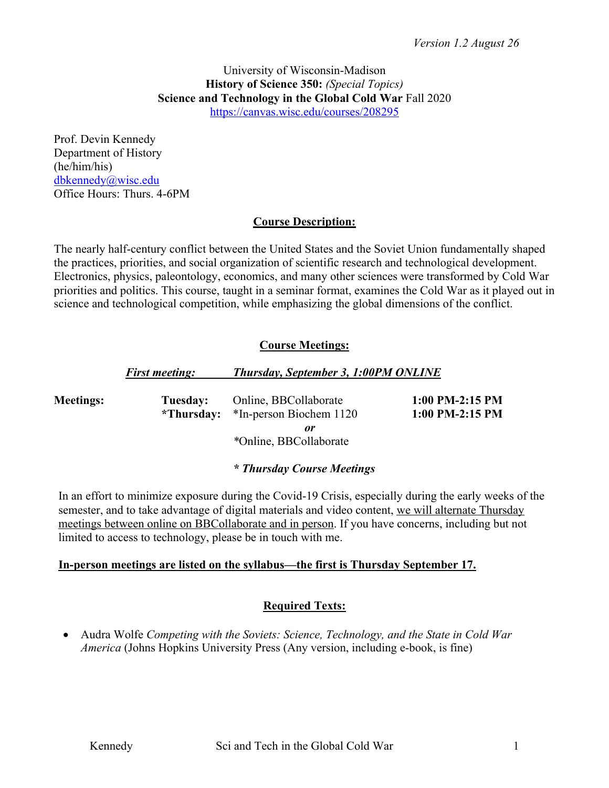#### University of Wisconsin-Madison **History of Science 350:** *(Special Topics)* **Science and Technology in the Global Cold War** Fall 2020 https://canvas.wisc.edu/courses/208295

Prof. Devin Kennedy Department of History (he/him/his) dbkennedy@wisc.edu Office Hours: Thurs. 4-6PM

## **Course Description:**

The nearly half-century conflict between the United States and the Soviet Union fundamentally shaped the practices, priorities, and social organization of scientific research and technological development. Electronics, physics, paleontology, economics, and many other sciences were transformed by Cold War priorities and politics. This course, taught in a seminar format, examines the Cold War as it played out in science and technological competition, while emphasizing the global dimensions of the conflict.

## **Course Meetings:**

|                  | <b>First meeting:</b> | <b>Thursday, September 3, 1:00PM ONLINE</b>                                                 |                                    |
|------------------|-----------------------|---------------------------------------------------------------------------------------------|------------------------------------|
| <b>Meetings:</b> | Tuesday:              | Online, BBCollaborate<br>*Thursday: *In-person Biochem 1120<br>or<br>*Online, BBCollaborate | 1:00 PM-2:15 PM<br>1:00 PM-2:15 PM |

## *\* Thursday Course Meetings*

In an effort to minimize exposure during the Covid-19 Crisis, especially during the early weeks of the semester, and to take advantage of digital materials and video content, we will alternate Thursday meetings between online on BBCollaborate and in person. If you have concerns, including but not limited to access to technology, please be in touch with me.

## **In-person meetings are listed on the syllabus—the first is Thursday September 17.**

## **Required Texts:**

• Audra Wolfe *Competing with the Soviets: Science, Technology, and the State in Cold War America* (Johns Hopkins University Press (Any version, including e-book, is fine)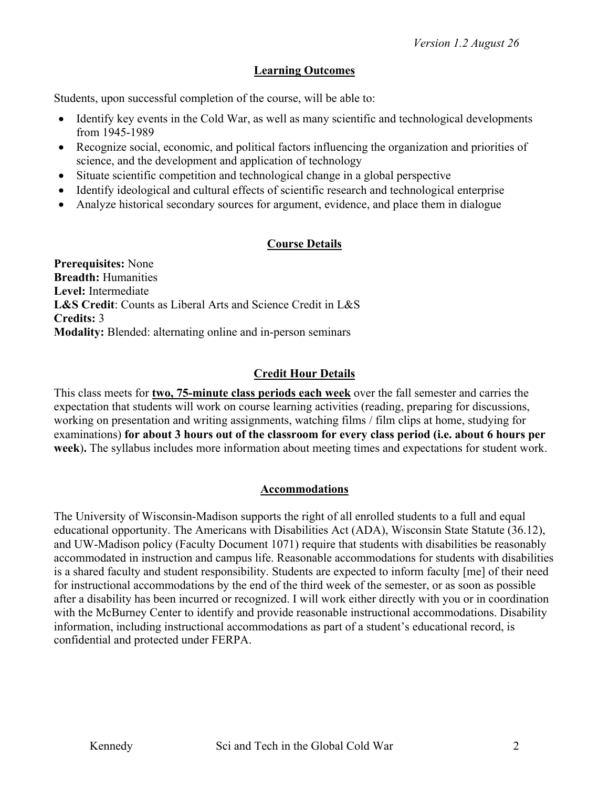## **Learning Outcomes**

Students, upon successful completion of the course, will be able to:

- Identify key events in the Cold War, as well as many scientific and technological developments from 1945-1989
- Recognize social, economic, and political factors influencing the organization and priorities of science, and the development and application of technology
- Situate scientific competition and technological change in a global perspective
- Identify ideological and cultural effects of scientific research and technological enterprise
- Analyze historical secondary sources for argument, evidence, and place them in dialogue

## **Course Details**

**Prerequisites:** None **Breadth:** Humanities **Level:** Intermediate **L&S Credit**: Counts as Liberal Arts and Science Credit in L&S **Credits:** 3 **Modality:** Blended: alternating online and in-person seminars

## **Credit Hour Details**

This class meets for **two, 75-minute class periods each week** over the fall semester and carries the expectation that students will work on course learning activities (reading, preparing for discussions, working on presentation and writing assignments, watching films / film clips at home, studying for examinations) **for about 3 hours out of the classroom for every class period (i.e. about 6 hours per week**)**.** The syllabus includes more information about meeting times and expectations for student work.

## **Accommodations**

The University of Wisconsin-Madison supports the right of all enrolled students to a full and equal educational opportunity. The Americans with Disabilities Act (ADA), Wisconsin State Statute (36.12), and UW-Madison policy (Faculty Document 1071) require that students with disabilities be reasonably accommodated in instruction and campus life. Reasonable accommodations for students with disabilities is a shared faculty and student responsibility. Students are expected to inform faculty [me] of their need for instructional accommodations by the end of the third week of the semester, or as soon as possible after a disability has been incurred or recognized. I will work either directly with you or in coordination with the McBurney Center to identify and provide reasonable instructional accommodations. Disability information, including instructional accommodations as part of a student's educational record, is confidential and protected under FERPA.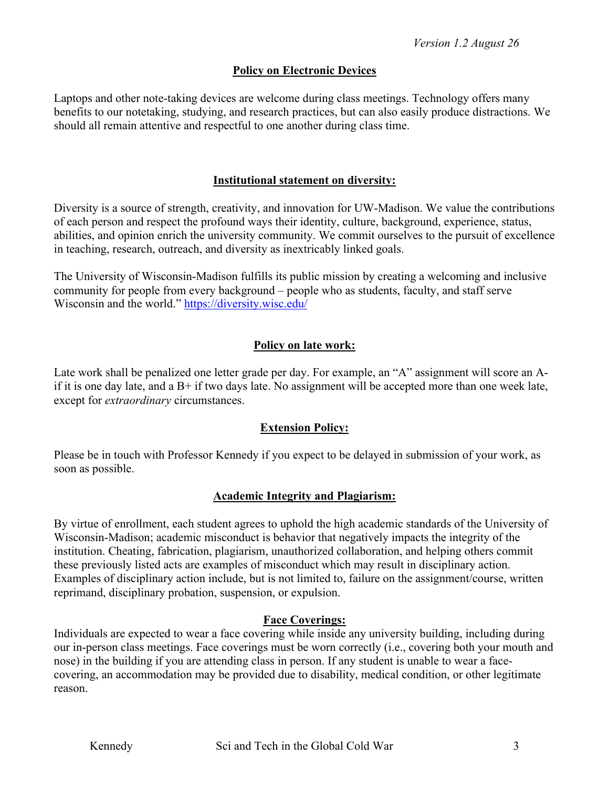## **Policy on Electronic Devices**

Laptops and other note-taking devices are welcome during class meetings. Technology offers many benefits to our notetaking, studying, and research practices, but can also easily produce distractions. We should all remain attentive and respectful to one another during class time.

## **Institutional statement on diversity:**

Diversity is a source of strength, creativity, and innovation for UW-Madison. We value the contributions of each person and respect the profound ways their identity, culture, background, experience, status, abilities, and opinion enrich the university community. We commit ourselves to the pursuit of excellence in teaching, research, outreach, and diversity as inextricably linked goals.

The University of Wisconsin-Madison fulfills its public mission by creating a welcoming and inclusive community for people from every background – people who as students, faculty, and staff serve Wisconsin and the world." https://diversity.wisc.edu/

## **Policy on late work:**

Late work shall be penalized one letter grade per day. For example, an "A" assignment will score an Aif it is one day late, and a  $B+$  if two days late. No assignment will be accepted more than one week late, except for *extraordinary* circumstances.

## **Extension Policy:**

Please be in touch with Professor Kennedy if you expect to be delayed in submission of your work, as soon as possible.

## **Academic Integrity and Plagiarism:**

By virtue of enrollment, each student agrees to uphold the high academic standards of the University of Wisconsin-Madison; academic misconduct is behavior that negatively impacts the integrity of the institution. Cheating, fabrication, plagiarism, unauthorized collaboration, and helping others commit these previously listed acts are examples of misconduct which may result in disciplinary action. Examples of disciplinary action include, but is not limited to, failure on the assignment/course, written reprimand, disciplinary probation, suspension, or expulsion.

## **Face Coverings:**

Individuals are expected to wear a face covering while inside any university building, including during our in-person class meetings. Face coverings must be worn correctly (i.e., covering both your mouth and nose) in the building if you are attending class in person. If any student is unable to wear a facecovering, an accommodation may be provided due to disability, medical condition, or other legitimate reason.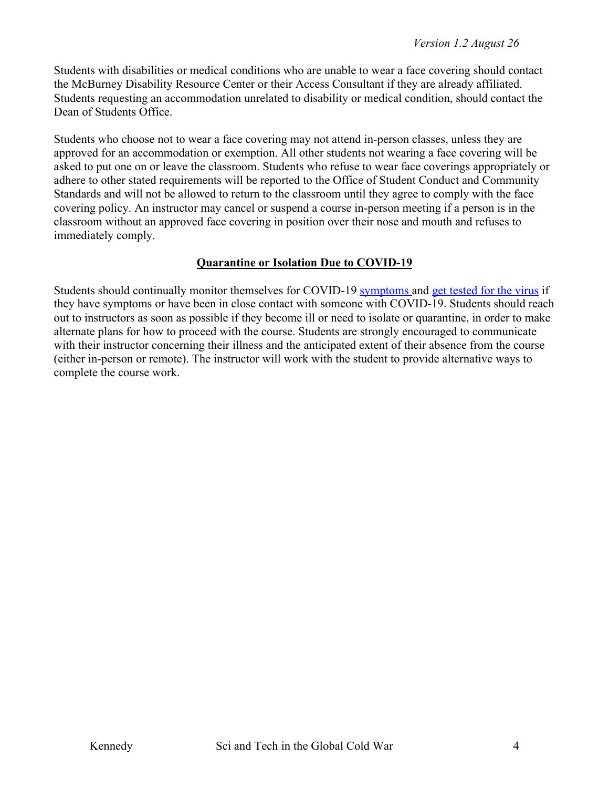Students with disabilities or medical conditions who are unable to wear a face covering should contact the McBurney Disability Resource Center or their Access Consultant if they are already affiliated. Students requesting an accommodation unrelated to disability or medical condition, should contact the Dean of Students Office.

Students who choose not to wear a face covering may not attend in-person classes, unless they are approved for an accommodation or exemption. All other students not wearing a face covering will be asked to put one on or leave the classroom. Students who refuse to wear face coverings appropriately or adhere to other stated requirements will be reported to the Office of Student Conduct and Community Standards and will not be allowed to return to the classroom until they agree to comply with the face covering policy. An instructor may cancel or suspend a course in-person meeting if a person is in the classroom without an approved face covering in position over their nose and mouth and refuses to immediately comply.

## **Quarantine or Isolation Due to COVID-19**

Students should continually monitor themselves for COVID-19 symptoms and get tested for the virus if they have symptoms or have been in close contact with someone with COVID-19. Students should reach out to instructors as soon as possible if they become ill or need to isolate or quarantine, in order to make alternate plans for how to proceed with the course. Students are strongly encouraged to communicate with their instructor concerning their illness and the anticipated extent of their absence from the course (either in-person or remote). The instructor will work with the student to provide alternative ways to complete the course work.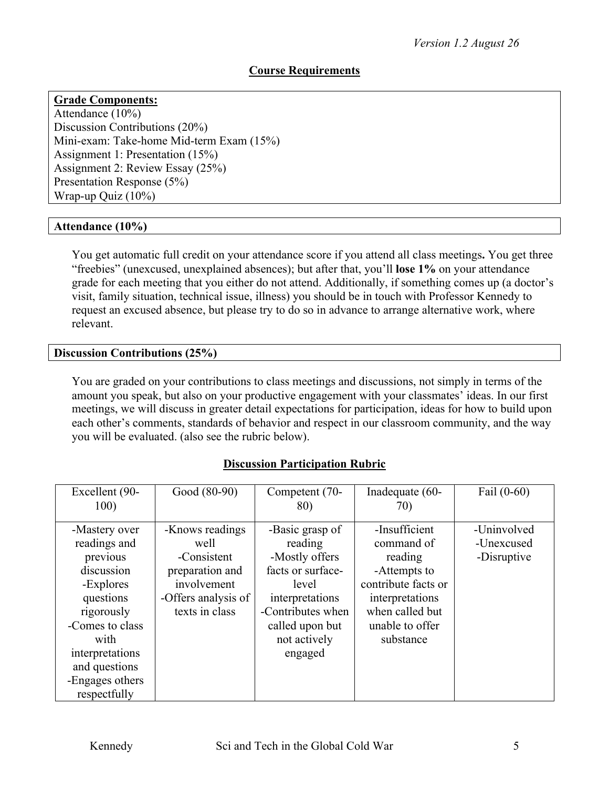## **Course Requirements**

# **Grade Components:**

Attendance (10%) Discussion Contributions (20%) Mini-exam: Take-home Mid-term Exam (15%) Assignment 1: Presentation (15%) Assignment 2: Review Essay (25%) Presentation Response (5%) Wrap-up Quiz (10%)

#### **Attendance (10%)**

You get automatic full credit on your attendance score if you attend all class meetings**.** You get three "freebies" (unexcused, unexplained absences); but after that, you'll **lose 1%** on your attendance grade for each meeting that you either do not attend. Additionally, if something comes up (a doctor's visit, family situation, technical issue, illness) you should be in touch with Professor Kennedy to request an excused absence, but please try to do so in advance to arrange alternative work, where relevant.

#### **Discussion Contributions (25%)**

You are graded on your contributions to class meetings and discussions, not simply in terms of the amount you speak, but also on your productive engagement with your classmates' ideas. In our first meetings, we will discuss in greater detail expectations for participation, ideas for how to build upon each other's comments, standards of behavior and respect in our classroom community, and the way you will be evaluated. (also see the rubric below).

## **Discussion Participation Rubric**

| Excellent (90-                                                                                                                                                                                    | Good (80-90)                                                                                                      | Competent (70-                                                                                                                                                   | Inadequate (60-                                                                                                                                     | Fail $(0-60)$                            |
|---------------------------------------------------------------------------------------------------------------------------------------------------------------------------------------------------|-------------------------------------------------------------------------------------------------------------------|------------------------------------------------------------------------------------------------------------------------------------------------------------------|-----------------------------------------------------------------------------------------------------------------------------------------------------|------------------------------------------|
| 100)                                                                                                                                                                                              |                                                                                                                   | 80)                                                                                                                                                              | 70)                                                                                                                                                 |                                          |
| -Mastery over<br>readings and<br>previous<br>discussion<br>-Explores<br>questions<br>rigorously<br>-Comes to class<br>with<br>interpretations<br>and questions<br>-Engages others<br>respectfully | -Knows readings<br>well<br>-Consistent<br>preparation and<br>involvement<br>-Offers analysis of<br>texts in class | -Basic grasp of<br>reading<br>-Mostly offers<br>facts or surface-<br>level<br>interpretations<br>-Contributes when<br>called upon but<br>not actively<br>engaged | -Insufficient<br>command of<br>reading<br>-Attempts to<br>contribute facts or<br>interpretations<br>when called but<br>unable to offer<br>substance | -Uninvolved<br>-Unexcused<br>-Disruptive |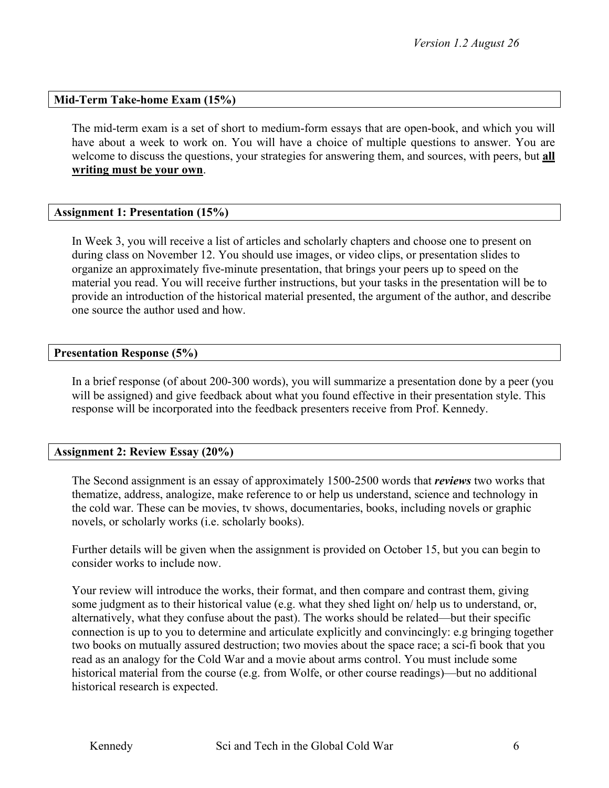#### **Mid-Term Take-home Exam (15%)**

The mid-term exam is a set of short to medium-form essays that are open-book, and which you will have about a week to work on. You will have a choice of multiple questions to answer. You are welcome to discuss the questions, your strategies for answering them, and sources, with peers, but **all writing must be your own**.

#### **Assignment 1: Presentation (15%)**

In Week 3, you will receive a list of articles and scholarly chapters and choose one to present on during class on November 12. You should use images, or video clips, or presentation slides to organize an approximately five-minute presentation, that brings your peers up to speed on the material you read. You will receive further instructions, but your tasks in the presentation will be to provide an introduction of the historical material presented, the argument of the author, and describe one source the author used and how.

#### **Presentation Response (5%)**

In a brief response (of about 200-300 words), you will summarize a presentation done by a peer (you will be assigned) and give feedback about what you found effective in their presentation style. This response will be incorporated into the feedback presenters receive from Prof. Kennedy.

#### **Assignment 2: Review Essay (20%)**

The Second assignment is an essay of approximately 1500-2500 words that *reviews* two works that thematize, address, analogize, make reference to or help us understand, science and technology in the cold war. These can be movies, tv shows, documentaries, books, including novels or graphic novels, or scholarly works (i.e. scholarly books).

Further details will be given when the assignment is provided on October 15, but you can begin to consider works to include now.

Your review will introduce the works, their format, and then compare and contrast them, giving some judgment as to their historical value (e.g. what they shed light on/ help us to understand, or, alternatively, what they confuse about the past). The works should be related—but their specific connection is up to you to determine and articulate explicitly and convincingly: e.g bringing together two books on mutually assured destruction; two movies about the space race; a sci-fi book that you read as an analogy for the Cold War and a movie about arms control. You must include some historical material from the course (e.g. from Wolfe, or other course readings)—but no additional historical research is expected.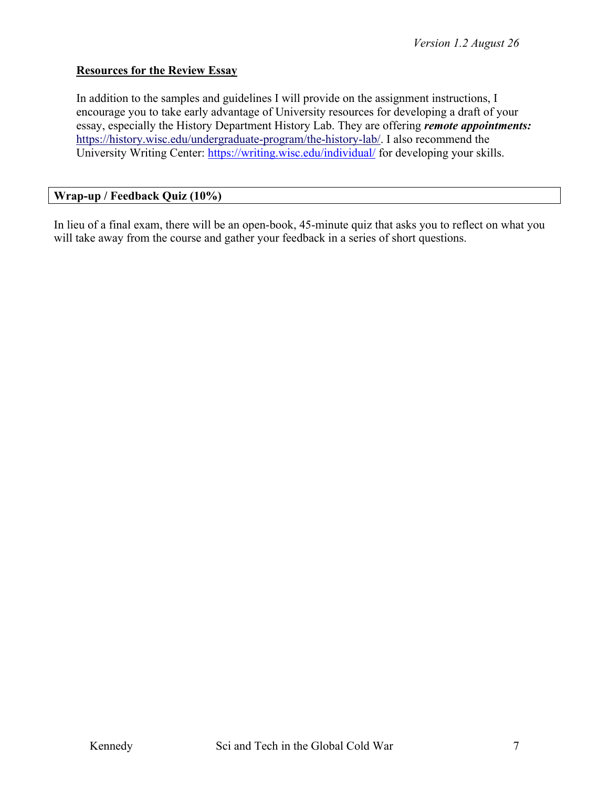#### **Resources for the Review Essay**

In addition to the samples and guidelines I will provide on the assignment instructions, I encourage you to take early advantage of University resources for developing a draft of your essay, especially the History Department History Lab. They are offering *remote appointments:*  https://history.wisc.edu/undergraduate-program/the-history-lab/. I also recommend the University Writing Center: https://writing.wisc.edu/individual/ for developing your skills.

#### **Wrap-up / Feedback Quiz (10%)**

In lieu of a final exam, there will be an open-book, 45-minute quiz that asks you to reflect on what you will take away from the course and gather your feedback in a series of short questions.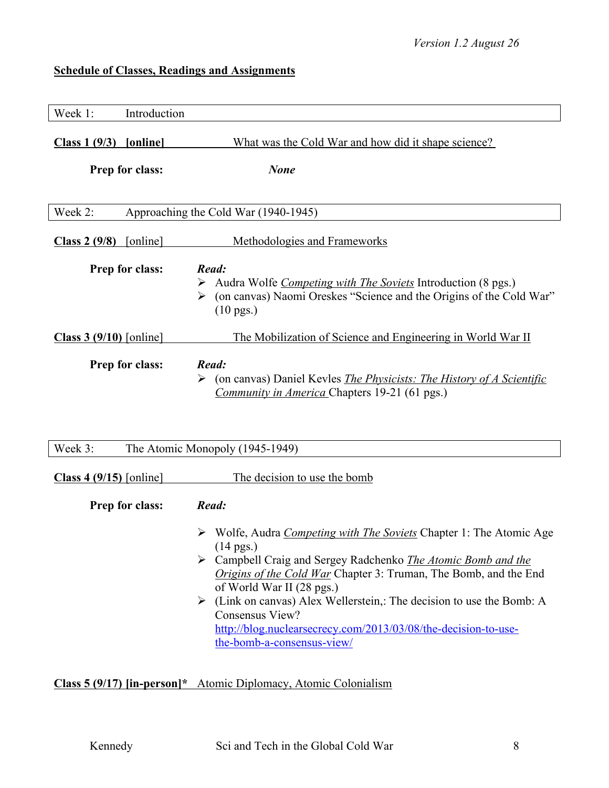# **Schedule of Classes, Readings and Assignments**

| Week 1:                   | Introduction    |                                                                                                                                                                                                                                                                                                                                                                                                                                                                                                          |
|---------------------------|-----------------|----------------------------------------------------------------------------------------------------------------------------------------------------------------------------------------------------------------------------------------------------------------------------------------------------------------------------------------------------------------------------------------------------------------------------------------------------------------------------------------------------------|
| $Class 1 (9/3)$ [online]  | Prep for class: | What was the Cold War and how did it shape science?<br><b>None</b>                                                                                                                                                                                                                                                                                                                                                                                                                                       |
| Week 2:                   |                 | Approaching the Cold War (1940-1945)                                                                                                                                                                                                                                                                                                                                                                                                                                                                     |
| Class $2(9/8)$            | [online]        | Methodologies and Frameworks                                                                                                                                                                                                                                                                                                                                                                                                                                                                             |
|                           | Prep for class: | Read:<br>Audra Wolfe <i>Competing with The Soviets</i> Introduction (8 pgs.)<br>(on canvas) Naomi Oreskes "Science and the Origins of the Cold War"<br>➤<br>$(10 \text{ pgs.})$                                                                                                                                                                                                                                                                                                                          |
| Class $3(9/10)$ [online]  |                 | The Mobilization of Science and Engineering in World War II                                                                                                                                                                                                                                                                                                                                                                                                                                              |
|                           | Prep for class: | Read:<br>(on canvas) Daniel Kevles <i>The Physicists: The History of A Scientific</i><br>➤<br><i>Community in America</i> Chapters 19-21 (61 pgs.)                                                                                                                                                                                                                                                                                                                                                       |
| Week 3:                   |                 | The Atomic Monopoly (1945-1949)                                                                                                                                                                                                                                                                                                                                                                                                                                                                          |
| Class 4 $(9/15)$ [online] |                 | The decision to use the bomb                                                                                                                                                                                                                                                                                                                                                                                                                                                                             |
|                           | Prep for class: | Read:<br>► Wolfe, Audra <i>Competing with The Soviets</i> Chapter 1: The Atomic Age<br>$(14 \text{ pgs.})$<br>$\triangleright$ Campbell Craig and Sergey Radchenko <i>The Atomic Bomb and the</i><br><i>Origins of the Cold War</i> Chapter 3: Truman, The Bomb, and the End<br>of World War II (28 pgs.)<br>(Link on canvas) Alex Wellerstein,: The decision to use the Bomb: A<br>➤<br>Consensus View?<br>http://blog.nuclearsecrecy.com/2013/03/08/the-decision-to-use-<br>the-bomb-a-consensus-view/ |

**Class 5 (9/17) [in-person]\*** Atomic Diplomacy, Atomic Colonialism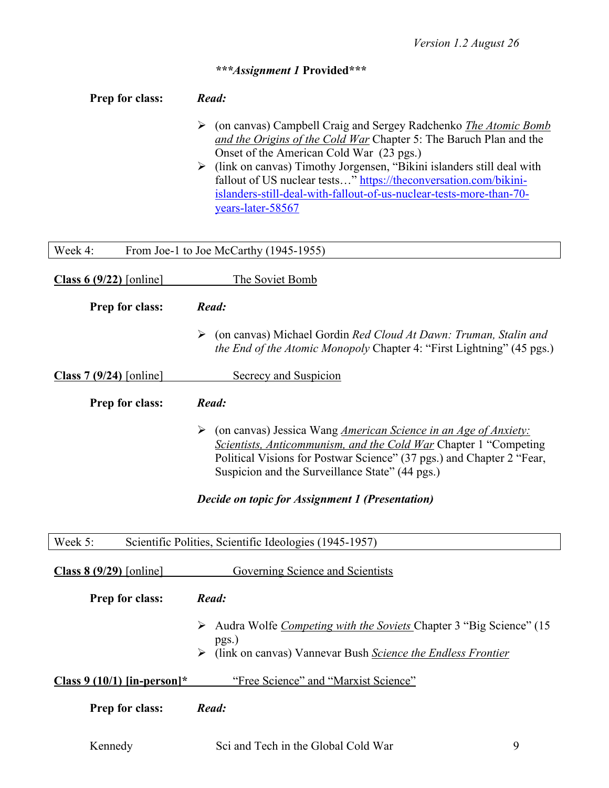# *\*\*\*Assignment 1* **Provided\*\*\***

| Prep for class:             | Read:                                                                                                                                                                                                                                                                                                                                                                                                                                    |
|-----------------------------|------------------------------------------------------------------------------------------------------------------------------------------------------------------------------------------------------------------------------------------------------------------------------------------------------------------------------------------------------------------------------------------------------------------------------------------|
|                             | (on canvas) Campbell Craig and Sergey Radchenko <i>The Atomic Bomb</i><br>➤<br>and the Origins of the Cold War Chapter 5: The Baruch Plan and the<br>Onset of the American Cold War (23 pgs.)<br>> (link on canvas) Timothy Jorgensen, "Bikini islanders still deal with<br>fallout of US nuclear tests" https://theconversation.com/bikini-<br>islanders-still-deal-with-fallout-of-us-nuclear-tests-more-than-70-<br>years-later-58567 |
| Week 4:                     | From Joe-1 to Joe McCarthy (1945-1955)                                                                                                                                                                                                                                                                                                                                                                                                   |
| Class 6 $(9/22)$ [online]   | The Soviet Bomb                                                                                                                                                                                                                                                                                                                                                                                                                          |
| Prep for class:             | Read:                                                                                                                                                                                                                                                                                                                                                                                                                                    |
|                             | (on canvas) Michael Gordin Red Cloud At Dawn: Truman, Stalin and<br>➤<br><i>the End of the Atomic Monopoly Chapter 4: "First Lightning" (45 pgs.)</i>                                                                                                                                                                                                                                                                                    |
| Class 7 $(9/24)$ [online]   | <b>Secrecy and Suspicion</b>                                                                                                                                                                                                                                                                                                                                                                                                             |
| Prep for class:             | Read:                                                                                                                                                                                                                                                                                                                                                                                                                                    |
|                             | (on canvas) Jessica Wang <i>American Science in an Age of Anxiety:</i><br>➤<br>Scientists, Anticommunism, and the Cold War Chapter 1 "Competing<br>Political Visions for Postwar Science" (37 pgs.) and Chapter 2 "Fear,<br>Suspicion and the Surveillance State" (44 pgs.)                                                                                                                                                              |
|                             | Decide on topic for Assignment 1 (Presentation)                                                                                                                                                                                                                                                                                                                                                                                          |
| Week 5:                     | Scientific Polities, Scientific Ideologies (1945-1957)                                                                                                                                                                                                                                                                                                                                                                                   |
| Class $8(9/29)$ [online]    | Governing Science and Scientists                                                                                                                                                                                                                                                                                                                                                                                                         |
| Prep for class:             | Read:                                                                                                                                                                                                                                                                                                                                                                                                                                    |
|                             | Audra Wolfe Competing with the Soviets Chapter 3 "Big Science" (15<br>pgs.)<br>(link on canvas) Vannevar Bush Science the Endless Frontier<br>➤                                                                                                                                                                                                                                                                                          |
| Class 9 (10/1) [in-person]* | "Free Science" and "Marxist Science"                                                                                                                                                                                                                                                                                                                                                                                                     |
| Prep for class:             | Read:                                                                                                                                                                                                                                                                                                                                                                                                                                    |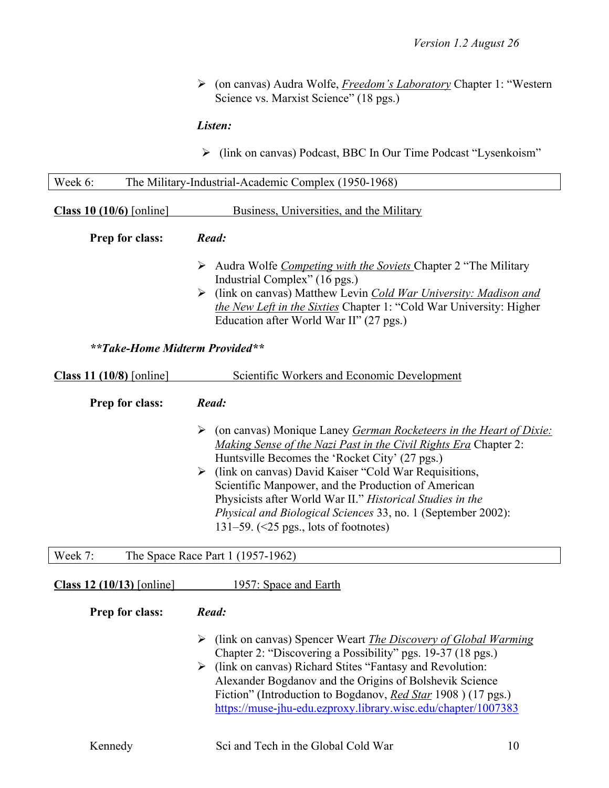Ø (on canvas) Audra Wolfe, *Freedom's Laboratory* Chapter 1: "Western Science vs. Marxist Science" (18 pgs.)

## *Listen:*

Ø (link on canvas) Podcast, BBC In Our Time Podcast "Lysenkoism"

| Week 6:<br>The Military-Industrial-Academic Complex (1950-1968) |                                                                                                                                                                                                                                                                                                                                                                                                                                                                                           |  |  |
|-----------------------------------------------------------------|-------------------------------------------------------------------------------------------------------------------------------------------------------------------------------------------------------------------------------------------------------------------------------------------------------------------------------------------------------------------------------------------------------------------------------------------------------------------------------------------|--|--|
| Class 10 $(10/6)$ [online]                                      | Business, Universities, and the Military                                                                                                                                                                                                                                                                                                                                                                                                                                                  |  |  |
| Prep for class:                                                 | Read:                                                                                                                                                                                                                                                                                                                                                                                                                                                                                     |  |  |
|                                                                 | Audra Wolfe Competing with the Soviets Chapter 2 "The Military<br>Industrial Complex" (16 pgs.)<br>$\triangleright$ (link on canvas) Matthew Levin <i>Cold War University: Madison and</i><br>the New Left in the Sixties Chapter 1: "Cold War University: Higher<br>Education after World War II" (27 pgs.)                                                                                                                                                                              |  |  |
| **Take-Home Midterm Provided**                                  |                                                                                                                                                                                                                                                                                                                                                                                                                                                                                           |  |  |
| Class 11 $(10/8)$ [online]                                      | Scientific Workers and Economic Development                                                                                                                                                                                                                                                                                                                                                                                                                                               |  |  |
| Prep for class:                                                 | Read:                                                                                                                                                                                                                                                                                                                                                                                                                                                                                     |  |  |
|                                                                 | (on canvas) Monique Laney German Rocketeers in the Heart of Dixie:<br>➤<br>Making Sense of the Nazi Past in the Civil Rights Era Chapter 2:<br>Huntsville Becomes the 'Rocket City' (27 pgs.)<br>(link on canvas) David Kaiser "Cold War Requisitions,<br>Scientific Manpower, and the Production of American<br>Physicists after World War II." Historical Studies in the<br>Physical and Biological Sciences 33, no. 1 (September 2002):<br>131–59. $(\leq 25$ pgs., lots of footnotes) |  |  |
| Week 7:                                                         | The Space Race Part 1 (1957-1962)                                                                                                                                                                                                                                                                                                                                                                                                                                                         |  |  |
| Class 12 $(10/13)$ [online]                                     | 1957: Space and Earth                                                                                                                                                                                                                                                                                                                                                                                                                                                                     |  |  |
| Prep for class:                                                 | Read:                                                                                                                                                                                                                                                                                                                                                                                                                                                                                     |  |  |
|                                                                 | (link on canvas) Spencer Weart <i>The Discovery of Global Warming</i><br>➤<br>Chapter 2: "Discovering a Possibility" pgs. 19-37 (18 pgs.)<br>> (link on canvas) Richard Stites "Fantasy and Revolution:<br>Alexander Bogdanov and the Origins of Bolshevik Science<br>Fiction" (Introduction to Bogdanov, <i>Red Star</i> 1908) (17 pgs.)<br>https://muse-jhu-edu.ezproxy.library.wisc.edu/chapter/1007383                                                                                |  |  |
| Kennedy                                                         | Sci and Tech in the Global Cold War<br>10                                                                                                                                                                                                                                                                                                                                                                                                                                                 |  |  |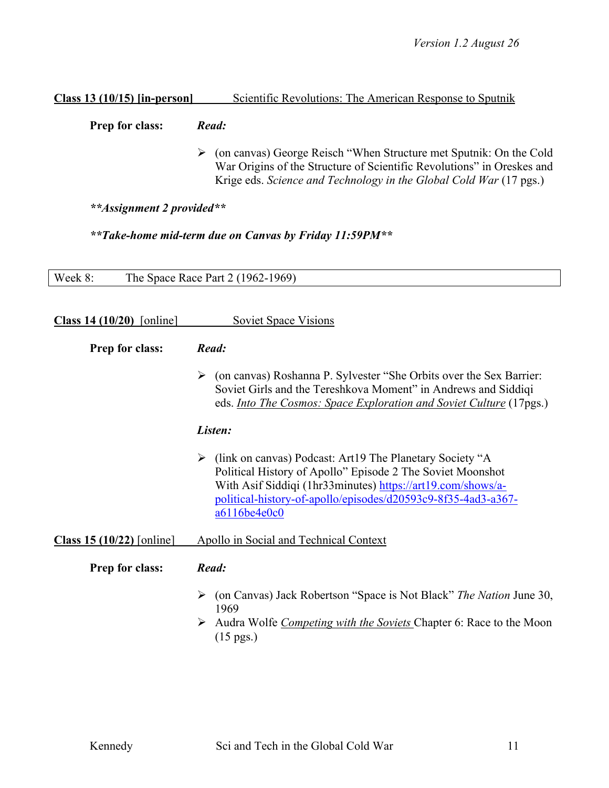#### **Class 13 (10/15) [in-person]** Scientific Revolutions: The American Response to Sputnik

**Prep for class:** *Read:*

Ø (on canvas) George Reisch "When Structure met Sputnik: On the Cold War Origins of the Structure of Scientific Revolutions" in Oreskes and Krige eds. *Science and Technology in the Global Cold War* (17 pgs.)

*\*\*Assignment 2 provided\*\**

*\*\*Take-home mid-term due on Canvas by Friday 11:59PM\*\**

| Week 8:<br>The Space Race Part 2 (1962-1969) |                                                                                                                                                                                                                                                                             |  |
|----------------------------------------------|-----------------------------------------------------------------------------------------------------------------------------------------------------------------------------------------------------------------------------------------------------------------------------|--|
| Class $14(10/20)$ [online]                   | <b>Soviet Space Visions</b>                                                                                                                                                                                                                                                 |  |
| Prep for class:                              | Read:                                                                                                                                                                                                                                                                       |  |
|                                              | (on canvas) Roshanna P. Sylvester "She Orbits over the Sex Barrier:<br>➤<br>Soviet Girls and the Tereshkova Moment" in Andrews and Siddiqi<br>eds. <i>Into The Cosmos: Space Exploration and Soviet Culture</i> (17pgs.)                                                    |  |
|                                              | Listen:                                                                                                                                                                                                                                                                     |  |
|                                              | (link on canvas) Podcast: Art19 The Planetary Society "A<br>➤<br>Political History of Apollo" Episode 2 The Soviet Moonshot<br>With Asif Siddiqi (1hr33minutes) https://art19.com/shows/a-<br>political-history-of-apollo/episodes/d20593c9-8f35-4ad3-a367-<br>a6116be4e0c0 |  |
| Class 15 $(10/22)$ [online]                  | Apollo in Social and Technical Context                                                                                                                                                                                                                                      |  |
| Prep for class:                              | Read:                                                                                                                                                                                                                                                                       |  |
|                                              | (on Canvas) Jack Robertson "Space is Not Black" The Nation June 30,<br>➤<br>1969<br>Audra Wolfe <i>Competing with the Soviets</i> Chapter 6: Race to the Moon<br>➤<br>$(15 \text{ pgs.})$                                                                                   |  |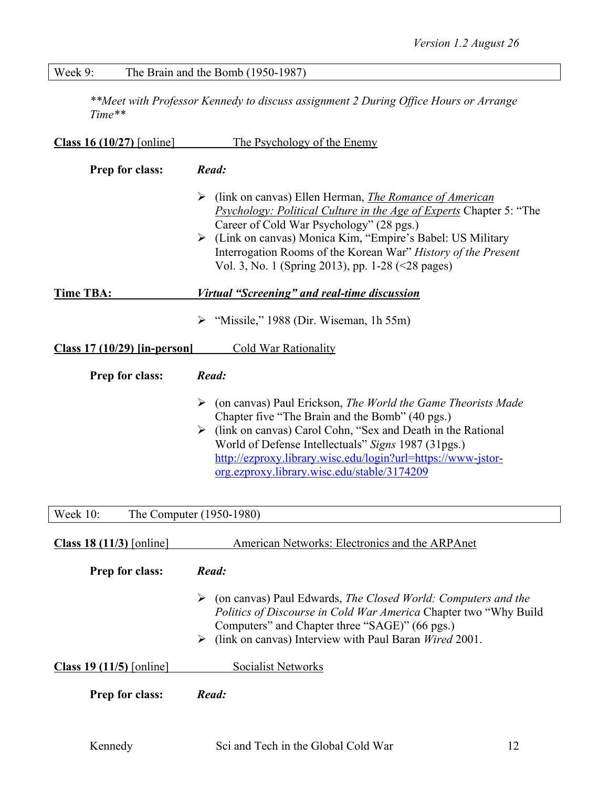# Week 9: The Brain and the Bomb (1950-1987)

*\*\*Meet with Professor Kennedy to discuss assignment 2 During Office Hours or Arrange Time\*\**

| Class 16 $(10/27)$ [online]    | The Psychology of the Enemy                                                                                                                                                                                                                                                                                                                                                |  |  |
|--------------------------------|----------------------------------------------------------------------------------------------------------------------------------------------------------------------------------------------------------------------------------------------------------------------------------------------------------------------------------------------------------------------------|--|--|
| Prep for class:                | Read:                                                                                                                                                                                                                                                                                                                                                                      |  |  |
|                                | (link on canvas) Ellen Herman, The Romance of American<br>➤<br><i>Psychology: Political Culture in the Age of Experts Chapter 5:</i> "The<br>Career of Cold War Psychology" (28 pgs.)<br>> (Link on canvas) Monica Kim, "Empire's Babel: US Military<br>Interrogation Rooms of the Korean War" History of the Present<br>Vol. 3, No. 1 (Spring 2013), pp. 1-28 (<28 pages) |  |  |
| <b>Time TBA:</b>               | <u><b>Virtual "Screening" and real-time discussion</b></u>                                                                                                                                                                                                                                                                                                                 |  |  |
|                                | "Missile," 1988 (Dir. Wiseman, 1h 55m)<br>➤                                                                                                                                                                                                                                                                                                                                |  |  |
| $Class 17 (10/29)$ [in-person] | <b>Cold War Rationality</b>                                                                                                                                                                                                                                                                                                                                                |  |  |
| Prep for class:                | Read:                                                                                                                                                                                                                                                                                                                                                                      |  |  |
|                                | ➤<br>(on canvas) Paul Erickson, The World the Game Theorists Made<br>Chapter five "The Brain and the Bomb" (40 pgs.)<br>$\triangleright$ (link on canvas) Carol Cohn, "Sex and Death in the Rational<br>World of Defense Intellectuals" Signs 1987 (31pgs.)<br>http://ezproxy.library.wisc.edu/login?url=https://www-jstor-<br>org.ezproxy.library.wisc.edu/stable/3174209 |  |  |
| Week 10:                       | The Computer (1950-1980)                                                                                                                                                                                                                                                                                                                                                   |  |  |
| Class 18 $(11/3)$ [online]     | American Networks: Electronics and the ARPAnet                                                                                                                                                                                                                                                                                                                             |  |  |
| <b>Prep for class:</b>         | Read:                                                                                                                                                                                                                                                                                                                                                                      |  |  |
| Class 19 $(11/5)$ [online]     | $\triangleright$ (on canvas) Paul Edwards, The Closed World: Computers and the<br>Politics of Discourse in Cold War America Chapter two "Why Build"<br>Computers" and Chapter three "SAGE)" (66 pgs.)<br>(link on canvas) Interview with Paul Baran Wired 2001.<br>➤<br><b>Socialist Networks</b>                                                                          |  |  |
| Prep for class:                | Read:                                                                                                                                                                                                                                                                                                                                                                      |  |  |
|                                |                                                                                                                                                                                                                                                                                                                                                                            |  |  |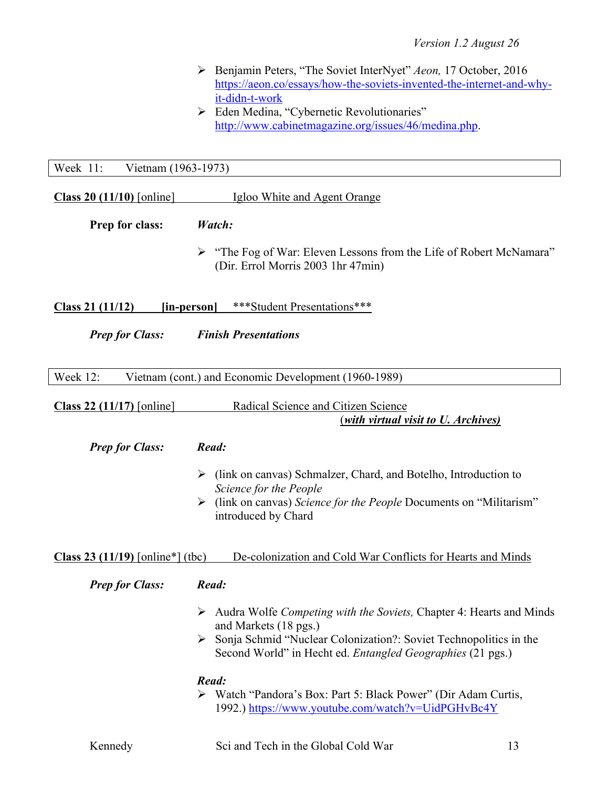- Ø Benjamin Peters, "The Soviet InterNyet" *Aeon,* 17 October, 2016 https://aeon.co/essays/how-the-soviets-invented-the-internet-and-whyit-didn-t-work
- $\triangleright$  Eden Medina, "Cybernetic Revolutionaries" http://www.cabinetmagazine.org/issues/46/medina.php.

Week 11: Vietnam (1963-1973)

| Class $20(11/10)$ [online]                                        | Igloo White and Agent Orange                                                                                                                                                                                                                                                                                                                                             |
|-------------------------------------------------------------------|--------------------------------------------------------------------------------------------------------------------------------------------------------------------------------------------------------------------------------------------------------------------------------------------------------------------------------------------------------------------------|
| Prep for class:                                                   | Watch:                                                                                                                                                                                                                                                                                                                                                                   |
|                                                                   | "The Fog of War: Eleven Lessons from the Life of Robert McNamara"<br>➤<br>(Dir. Errol Morris 2003 1hr 47min)                                                                                                                                                                                                                                                             |
| Class 21 $(11/12)$                                                | ***Student Presentations***<br><u>[in-person]</u>                                                                                                                                                                                                                                                                                                                        |
| <b>Prep for Class:</b>                                            | <b>Finish Presentations</b>                                                                                                                                                                                                                                                                                                                                              |
| Week 12:                                                          | Vietnam (cont.) and Economic Development (1960-1989)                                                                                                                                                                                                                                                                                                                     |
| Class 22 $(11/17)$ [online]                                       | Radical Science and Citizen Science<br><i>(with virtual visit to U. Archives)</i>                                                                                                                                                                                                                                                                                        |
| <b>Prep for Class:</b><br><b>Class 23 (11/19)</b> [online*] (tbc) | Read:<br>(link on canvas) Schmalzer, Chard, and Botelho, Introduction to<br>➤<br>Science for the People<br>(link on canvas) Science for the People Documents on "Militarism"<br>➤<br>introduced by Chard<br>De-colonization and Cold War Conflicts for Hearts and Minds                                                                                                  |
| <b>Prep for Class:</b>                                            | Read:                                                                                                                                                                                                                                                                                                                                                                    |
|                                                                   | Audra Wolfe Competing with the Soviets, Chapter 4: Hearts and Minds<br>➤<br>and Markets (18 pgs.)<br>Sonja Schmid "Nuclear Colonization?: Soviet Technopolitics in the<br>Second World" in Hecht ed. Entangled Geographies (21 pgs.)<br>Read:<br>Watch "Pandora's Box: Part 5: Black Power" (Dir Adam Curtis,<br>➤<br>1992.) https://www.youtube.com/watch?v=UidPGHvBc4Y |
| Kennedy                                                           | Sci and Tech in the Global Cold War<br>13                                                                                                                                                                                                                                                                                                                                |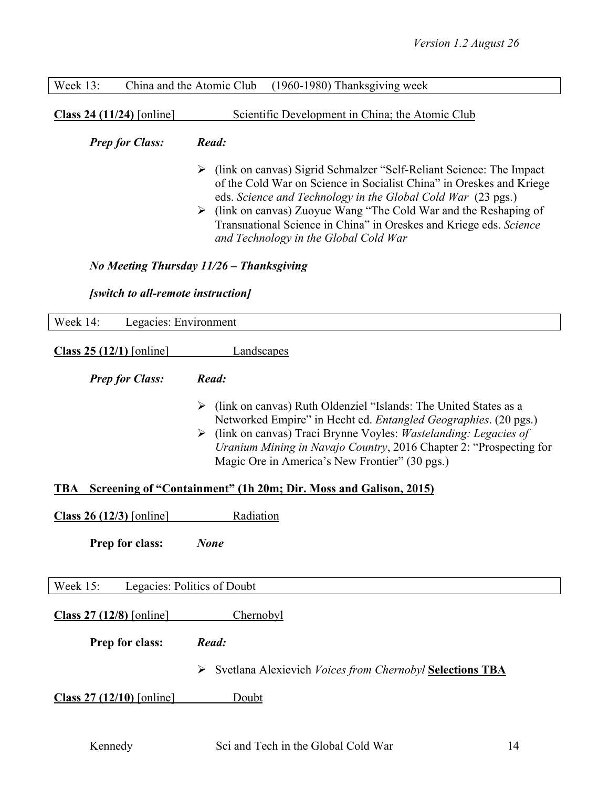| China and the Atomic Club (1960-1980) Thanksgiving week | Week $13:$ |
|---------------------------------------------------------|------------|
|---------------------------------------------------------|------------|

**Class 24 (11/24)** [online] Scientific Development in China; the Atomic Club

#### *Prep for Class: Read:*

- Ø (link on canvas) Sigrid Schmalzer "Self-Reliant Science: The Impact of the Cold War on Science in Socialist China" in Oreskes and Kriege eds. *Science and Technology in the Global Cold War* (23 pgs.)
- Ø (link on canvas) Zuoyue Wang "The Cold War and the Reshaping of Transnational Science in China" in Oreskes and Kriege eds. *Science and Technology in the Global Cold War*

#### *No Meeting Thursday 11/26 – Thanksgiving*

#### *[switch to all-remote instruction]*

| Week 14:<br>Legacies: Environment       |                                                                                                                                                                                                                                                                                                                                                      |
|-----------------------------------------|------------------------------------------------------------------------------------------------------------------------------------------------------------------------------------------------------------------------------------------------------------------------------------------------------------------------------------------------------|
| Class $25(12/1)$ [online]               | Landscapes                                                                                                                                                                                                                                                                                                                                           |
| <b>Prep for Class:</b>                  | Read:                                                                                                                                                                                                                                                                                                                                                |
|                                         | $\triangleright$ (link on canvas) Ruth Oldenziel "Islands: The United States as a<br>Networked Empire" in Hecht ed. Entangled Geographies. (20 pgs.)<br>(link on canvas) Traci Brynne Voyles: Wastelanding: Legacies of<br>➤<br>Uranium Mining in Navajo Country, 2016 Chapter 2: "Prospecting for<br>Magic Ore in America's New Frontier" (30 pgs.) |
| TBA                                     | Screening of "Containment" (1h 20m; Dir. Moss and Galison, 2015)                                                                                                                                                                                                                                                                                     |
| Class 26 $(12/3)$ [online]              | Radiation                                                                                                                                                                                                                                                                                                                                            |
| Prep for class:                         | <b>None</b>                                                                                                                                                                                                                                                                                                                                          |
| Legacies: Politics of Doubt<br>Week 15: |                                                                                                                                                                                                                                                                                                                                                      |
| Class 27 (12/8) [online]                | Chernobyl                                                                                                                                                                                                                                                                                                                                            |
| Prep for class:                         | Read:                                                                                                                                                                                                                                                                                                                                                |
|                                         | Svetlana Alexievich Voices from Chernobyl Selections TBA<br>➤                                                                                                                                                                                                                                                                                        |
| <b>Class 27 (12/10)</b> [online]        | Doubt                                                                                                                                                                                                                                                                                                                                                |
|                                         |                                                                                                                                                                                                                                                                                                                                                      |